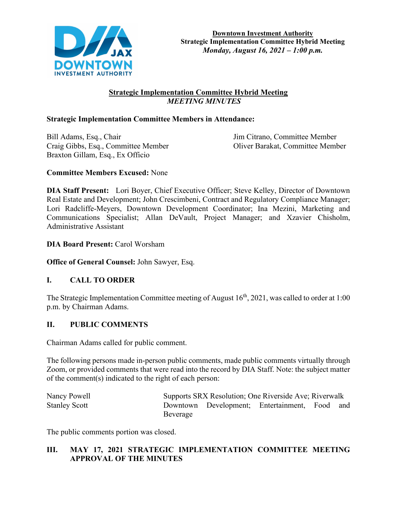

# **Strategic Implementation Committee Hybrid Meeting**  *MEETING MINUTES*

# **Strategic Implementation Committee Members in Attendance:**

Bill Adams, Esq., Chair Jim Citrano, Committee Member Craig Gibbs, Esq., Committee Member Oliver Barakat, Committee Member Braxton Gillam, Esq., Ex Officio

## **Committee Members Excused:** None

**DIA Staff Present:** Lori Boyer, Chief Executive Officer; Steve Kelley, Director of Downtown Real Estate and Development; John Crescimbeni, Contract and Regulatory Compliance Manager; Lori Radcliffe-Meyers, Downtown Development Coordinator; Ina Mezini, Marketing and Communications Specialist; Allan DeVault, Project Manager; and Xzavier Chisholm, Administrative Assistant

## **DIA Board Present:** Carol Worsham

**Office of General Counsel:** John Sawyer, Esq.

# **I. CALL TO ORDER**

The Strategic Implementation Committee meeting of August  $16<sup>th</sup>$ , 2021, was called to order at 1:00 p.m. by Chairman Adams.

#### **II. PUBLIC COMMENTS**

Chairman Adams called for public comment.

The following persons made in-person public comments, made public comments virtually through Zoom, or provided comments that were read into the record by DIA Staff. Note: the subject matter of the comment(s) indicated to the right of each person:

| Nancy Powell         | Supports SRX Resolution; One Riverside Ave; Riverwalk |  |                                               |  |  |  |
|----------------------|-------------------------------------------------------|--|-----------------------------------------------|--|--|--|
| <b>Stanley Scott</b> |                                                       |  | Downtown Development; Entertainment, Food and |  |  |  |
|                      | Beverage                                              |  |                                               |  |  |  |

The public comments portion was closed.

# **III. MAY 17, 2021 STRATEGIC IMPLEMENTATION COMMITTEE MEETING APPROVAL OF THE MINUTES**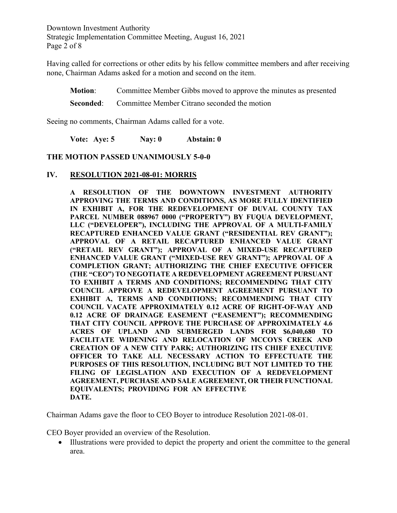Downtown Investment Authority Strategic Implementation Committee Meeting, August 16, 2021 Page 2 of 8

Having called for corrections or other edits by his fellow committee members and after receiving none, Chairman Adams asked for a motion and second on the item.

**Motion**: Committee Member Gibbs moved to approve the minutes as presented **Seconded:** Committee Member Citrano seconded the motion

Seeing no comments, Chairman Adams called for a vote.

**Vote: Aye: 5 Nay: 0 Abstain: 0**

#### **THE MOTION PASSED UNANIMOUSLY 5-0-0**

#### **IV. RESOLUTION 2021-08-01: MORRIS**

**A RESOLUTION OF THE DOWNTOWN INVESTMENT AUTHORITY APPROVING THE TERMS AND CONDITIONS, AS MORE FULLY IDENTIFIED IN EXHIBIT A, FOR THE REDEVELOPMENT OF DUVAL COUNTY TAX PARCEL NUMBER 088967 0000 ("PROPERTY") BY FUQUA DEVELOPMENT, LLC ("DEVELOPER"), INCLUDING THE APPROVAL OF A MULTI-FAMILY RECAPTURED ENHANCED VALUE GRANT ("RESIDENTIAL REV GRANT"); APPROVAL OF A RETAIL RECAPTURED ENHANCED VALUE GRANT ("RETAIL REV GRANT"); APPROVAL OF A MIXED-USE RECAPTURED ENHANCED VALUE GRANT ("MIXED-USE REV GRANT"); APPROVAL OF A COMPLETION GRANT; AUTHORIZING THE CHIEF EXECUTIVE OFFICER (THE "CEO") TO NEGOTIATE A REDEVELOPMENT AGREEMENT PURSUANT TO EXHIBIT A TERMS AND CONDITIONS; RECOMMENDING THAT CITY COUNCIL APPROVE A REDEVELOPMENT AGREEMENT PURSUANT TO EXHIBIT A, TERMS AND CONDITIONS; RECOMMENDING THAT CITY COUNCIL VACATE APPROXIMATELY 0.12 ACRE OF RIGHT-OF-WAY AND 0.12 ACRE OF DRAINAGE EASEMENT ("EASEMENT"); RECOMMENDING THAT CITY COUNCIL APPROVE THE PURCHASE OF APPROXIMATELY 4.6 ACRES OF UPLAND AND SUBMERGED LANDS FOR \$6,040,680 TO FACILITATE WIDENING AND RELOCATION OF MCCOYS CREEK AND CREATION OF A NEW CITY PARK; AUTHORIZING ITS CHIEF EXECUTIVE OFFICER TO TAKE ALL NECESSARY ACTION TO EFFECTUATE THE PURPOSES OF THIS RESOLUTION, INCLUDING BUT NOT LIMITED TO THE FILING OF LEGISLATION AND EXECUTION OF A REDEVELOPMENT AGREEMENT, PURCHASE AND SALE AGREEMENT, OR THEIR FUNCTIONAL EQUIVALENTS; PROVIDING FOR AN EFFECTIVE DATE.**

Chairman Adams gave the floor to CEO Boyer to introduce Resolution 2021-08-01.

CEO Boyer provided an overview of the Resolution.

• Illustrations were provided to depict the property and orient the committee to the general area.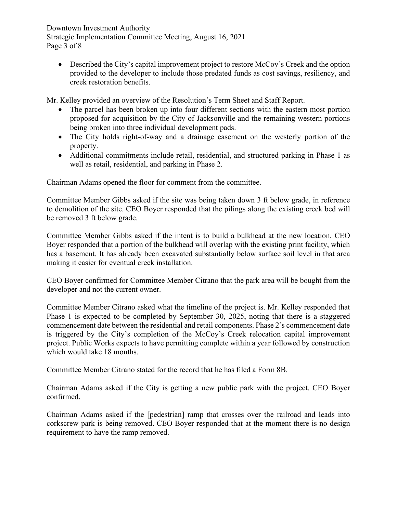Downtown Investment Authority Strategic Implementation Committee Meeting, August 16, 2021 Page 3 of 8

• Described the City's capital improvement project to restore McCoy's Creek and the option provided to the developer to include those predated funds as cost savings, resiliency, and creek restoration benefits.

Mr. Kelley provided an overview of the Resolution's Term Sheet and Staff Report.

- The parcel has been broken up into four different sections with the eastern most portion proposed for acquisition by the City of Jacksonville and the remaining western portions being broken into three individual development pads.
- The City holds right-of-way and a drainage easement on the westerly portion of the property.
- Additional commitments include retail, residential, and structured parking in Phase 1 as well as retail, residential, and parking in Phase 2.

Chairman Adams opened the floor for comment from the committee.

Committee Member Gibbs asked if the site was being taken down 3 ft below grade, in reference to demolition of the site. CEO Boyer responded that the pilings along the existing creek bed will be removed 3 ft below grade.

Committee Member Gibbs asked if the intent is to build a bulkhead at the new location. CEO Boyer responded that a portion of the bulkhead will overlap with the existing print facility, which has a basement. It has already been excavated substantially below surface soil level in that area making it easier for eventual creek installation.

CEO Boyer confirmed for Committee Member Citrano that the park area will be bought from the developer and not the current owner.

Committee Member Citrano asked what the timeline of the project is. Mr. Kelley responded that Phase 1 is expected to be completed by September 30, 2025, noting that there is a staggered commencement date between the residential and retail components. Phase 2's commencement date is triggered by the City's completion of the McCoy's Creek relocation capital improvement project. Public Works expects to have permitting complete within a year followed by construction which would take 18 months.

Committee Member Citrano stated for the record that he has filed a Form 8B.

Chairman Adams asked if the City is getting a new public park with the project. CEO Boyer confirmed.

Chairman Adams asked if the [pedestrian] ramp that crosses over the railroad and leads into corkscrew park is being removed. CEO Boyer responded that at the moment there is no design requirement to have the ramp removed.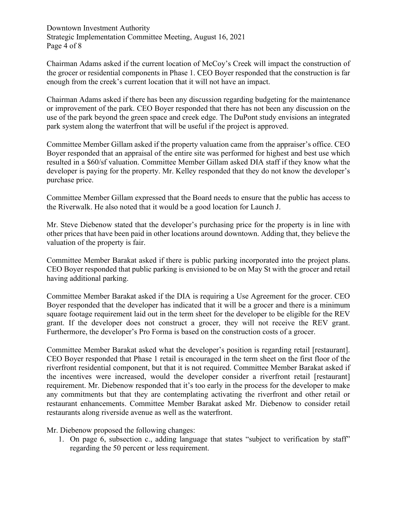Downtown Investment Authority Strategic Implementation Committee Meeting, August 16, 2021 Page 4 of 8

Chairman Adams asked if the current location of McCoy's Creek will impact the construction of the grocer or residential components in Phase 1. CEO Boyer responded that the construction is far enough from the creek's current location that it will not have an impact.

Chairman Adams asked if there has been any discussion regarding budgeting for the maintenance or improvement of the park. CEO Boyer responded that there has not been any discussion on the use of the park beyond the green space and creek edge. The DuPont study envisions an integrated park system along the waterfront that will be useful if the project is approved.

Committee Member Gillam asked if the property valuation came from the appraiser's office. CEO Boyer responded that an appraisal of the entire site was performed for highest and best use which resulted in a \$60/sf valuation. Committee Member Gillam asked DIA staff if they know what the developer is paying for the property. Mr. Kelley responded that they do not know the developer's purchase price.

Committee Member Gillam expressed that the Board needs to ensure that the public has access to the Riverwalk. He also noted that it would be a good location for Launch J.

Mr. Steve Diebenow stated that the developer's purchasing price for the property is in line with other prices that have been paid in other locations around downtown. Adding that, they believe the valuation of the property is fair.

Committee Member Barakat asked if there is public parking incorporated into the project plans. CEO Boyer responded that public parking is envisioned to be on May St with the grocer and retail having additional parking.

Committee Member Barakat asked if the DIA is requiring a Use Agreement for the grocer. CEO Boyer responded that the developer has indicated that it will be a grocer and there is a minimum square footage requirement laid out in the term sheet for the developer to be eligible for the REV grant. If the developer does not construct a grocer, they will not receive the REV grant. Furthermore, the developer's Pro Forma is based on the construction costs of a grocer.

Committee Member Barakat asked what the developer's position is regarding retail [restaurant]. CEO Boyer responded that Phase 1 retail is encouraged in the term sheet on the first floor of the riverfront residential component, but that it is not required. Committee Member Barakat asked if the incentives were increased, would the developer consider a riverfront retail [restaurant] requirement. Mr. Diebenow responded that it's too early in the process for the developer to make any commitments but that they are contemplating activating the riverfront and other retail or restaurant enhancements. Committee Member Barakat asked Mr. Diebenow to consider retail restaurants along riverside avenue as well as the waterfront.

Mr. Diebenow proposed the following changes:

1. On page 6, subsection c., adding language that states "subject to verification by staff" regarding the 50 percent or less requirement.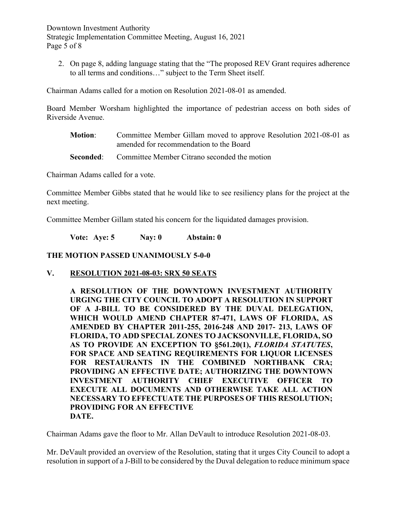Downtown Investment Authority Strategic Implementation Committee Meeting, August 16, 2021 Page 5 of 8

2. On page 8, adding language stating that the "The proposed REV Grant requires adherence to all terms and conditions…" subject to the Term Sheet itself.

Chairman Adams called for a motion on Resolution 2021-08-01 as amended.

Board Member Worsham highlighted the importance of pedestrian access on both sides of Riverside Avenue.

- **Motion**: Committee Member Gillam moved to approve Resolution 2021-08-01 as amended for recommendation to the Board
- **Seconded:** Committee Member Citrano seconded the motion

Chairman Adams called for a vote.

Committee Member Gibbs stated that he would like to see resiliency plans for the project at the next meeting.

Committee Member Gillam stated his concern for the liquidated damages provision.

**Vote: Aye: 5 Nay: 0 Abstain: 0** 

## **THE MOTION PASSED UNANIMOUSLY 5-0-0**

**V. RESOLUTION 2021-08-03: SRX 50 SEATS**

**A RESOLUTION OF THE DOWNTOWN INVESTMENT AUTHORITY URGING THE CITY COUNCIL TO ADOPT A RESOLUTION IN SUPPORT OF A J-BILL TO BE CONSIDERED BY THE DUVAL DELEGATION, WHICH WOULD AMEND CHAPTER 87-471, LAWS OF FLORIDA, AS AMENDED BY CHAPTER 2011-255, 2016-248 AND 2017- 213, LAWS OF FLORIDA, TO ADD SPECIAL ZONES TO JACKSONVILLE, FLORIDA, SO AS TO PROVIDE AN EXCEPTION TO §561.20(1),** *FLORIDA STATUTES***, FOR SPACE AND SEATING REQUIREMENTS FOR LIQUOR LICENSES FOR RESTAURANTS IN THE COMBINED NORTHBANK CRA; PROVIDING AN EFFECTIVE DATE; AUTHORIZING THE DOWNTOWN INVESTMENT AUTHORITY CHIEF EXECUTIVE OFFICER TO EXECUTE ALL DOCUMENTS AND OTHERWISE TAKE ALL ACTION NECESSARY TO EFFECTUATE THE PURPOSES OF THIS RESOLUTION; PROVIDING FOR AN EFFECTIVE DATE.**

Chairman Adams gave the floor to Mr. Allan DeVault to introduce Resolution 2021-08-03.

Mr. DeVault provided an overview of the Resolution, stating that it urges City Council to adopt a resolution in support of a J-Bill to be considered by the Duval delegation to reduce minimum space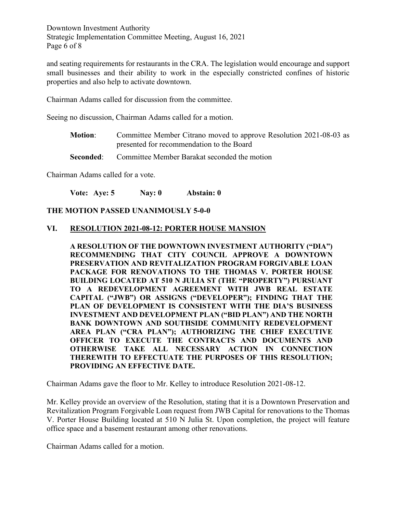Downtown Investment Authority Strategic Implementation Committee Meeting, August 16, 2021 Page 6 of 8

and seating requirements for restaurants in the CRA. The legislation would encourage and support small businesses and their ability to work in the especially constricted confines of historic properties and also help to activate downtown.

Chairman Adams called for discussion from the committee.

Seeing no discussion, Chairman Adams called for a motion.

- **Motion**: Committee Member Citrano moved to approve Resolution 2021-08-03 as presented for recommendation to the Board
- **Seconded:** Committee Member Barakat seconded the motion

Chairman Adams called for a vote.

**Vote: Aye: 5 Nay: 0 Abstain: 0** 

#### **THE MOTION PASSED UNANIMOUSLY 5-0-0**

#### **VI. RESOLUTION 2021-08-12: PORTER HOUSE MANSION**

**A RESOLUTION OF THE DOWNTOWN INVESTMENT AUTHORITY ("DIA") RECOMMENDING THAT CITY COUNCIL APPROVE A DOWNTOWN PRESERVATION AND REVITALIZATION PROGRAM FORGIVABLE LOAN PACKAGE FOR RENOVATIONS TO THE THOMAS V. PORTER HOUSE BUILDING LOCATED AT 510 N JULIA ST (THE "PROPERTY") PURSUANT TO A REDEVELOPMENT AGREEMENT WITH JWB REAL ESTATE CAPITAL ("JWB") OR ASSIGNS ("DEVELOPER"); FINDING THAT THE PLAN OF DEVELOPMENT IS CONSISTENT WITH THE DIA'S BUSINESS INVESTMENT AND DEVELOPMENT PLAN ("BID PLAN") AND THE NORTH BANK DOWNTOWN AND SOUTHSIDE COMMUNITY REDEVELOPMENT AREA PLAN ("CRA PLAN"); AUTHORIZING THE CHIEF EXECUTIVE OFFICER TO EXECUTE THE CONTRACTS AND DOCUMENTS AND OTHERWISE TAKE ALL NECESSARY ACTION IN CONNECTION THEREWITH TO EFFECTUATE THE PURPOSES OF THIS RESOLUTION; PROVIDING AN EFFECTIVE DATE.**

Chairman Adams gave the floor to Mr. Kelley to introduce Resolution 2021-08-12.

Mr. Kelley provide an overview of the Resolution, stating that it is a Downtown Preservation and Revitalization Program Forgivable Loan request from JWB Capital for renovations to the Thomas V. Porter House Building located at 510 N Julia St. Upon completion, the project will feature office space and a basement restaurant among other renovations.

Chairman Adams called for a motion.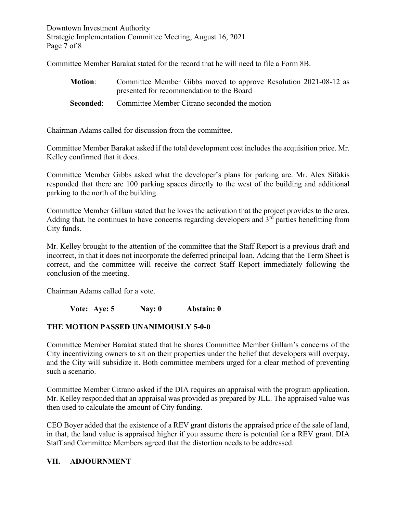Downtown Investment Authority Strategic Implementation Committee Meeting, August 16, 2021 Page 7 of 8

Committee Member Barakat stated for the record that he will need to file a Form 8B.

| <b>Motion:</b> | Committee Member Gibbs moved to approve Resolution 2021-08-12 as<br>presented for recommendation to the Board |
|----------------|---------------------------------------------------------------------------------------------------------------|
|                | <b>Seconded:</b> Committee Member Citrano seconded the motion                                                 |

Chairman Adams called for discussion from the committee.

Committee Member Barakat asked if the total development cost includes the acquisition price. Mr. Kelley confirmed that it does.

Committee Member Gibbs asked what the developer's plans for parking are. Mr. Alex Sifakis responded that there are 100 parking spaces directly to the west of the building and additional parking to the north of the building.

Committee Member Gillam stated that he loves the activation that the project provides to the area. Adding that, he continues to have concerns regarding developers and  $3<sup>rd</sup>$  parties benefitting from City funds.

Mr. Kelley brought to the attention of the committee that the Staff Report is a previous draft and incorrect, in that it does not incorporate the deferred principal loan. Adding that the Term Sheet is correct, and the committee will receive the correct Staff Report immediately following the conclusion of the meeting.

Chairman Adams called for a vote.

**Vote: Aye: 5 Nay: 0 Abstain: 0** 

# **THE MOTION PASSED UNANIMOUSLY 5-0-0**

Committee Member Barakat stated that he shares Committee Member Gillam's concerns of the City incentivizing owners to sit on their properties under the belief that developers will overpay, and the City will subsidize it. Both committee members urged for a clear method of preventing such a scenario.

Committee Member Citrano asked if the DIA requires an appraisal with the program application. Mr. Kelley responded that an appraisal was provided as prepared by JLL. The appraised value was then used to calculate the amount of City funding.

CEO Boyer added that the existence of a REV grant distorts the appraised price of the sale of land, in that, the land value is appraised higher if you assume there is potential for a REV grant. DIA Staff and Committee Members agreed that the distortion needs to be addressed.

# **VII. ADJOURNMENT**